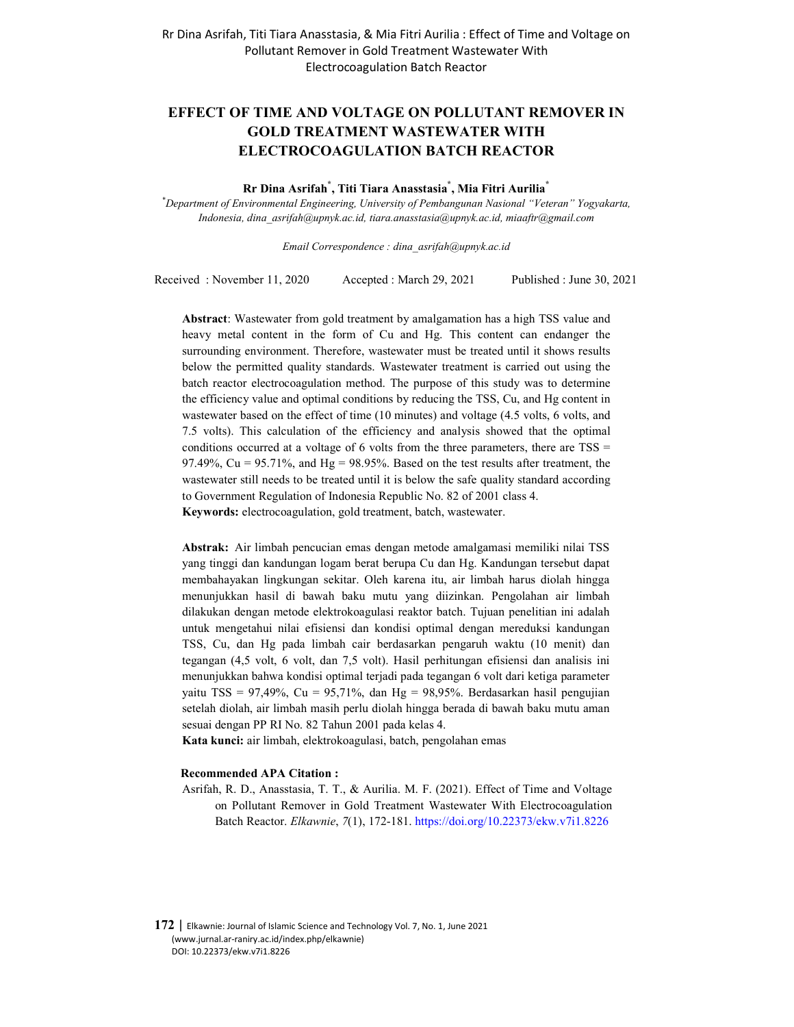# **EFFECT OF TIME AND VOLTAGE ON POLLUTANT REMOVER IN GOLD TREATMENT WASTEWATER WITH ELECTROCOAGULATION BATCH REACTOR**

**Rr Dina Asrifah\* , Titi Tiara Anasstasia\* , Mia Fitri Aurilia\***

*\*Department of Environmental Engineering, University of Pembangunan Nasional "Veteran" Yogyakarta, Indonesia, dina\_asrifah@upnyk.ac.id, tiara.anasstasia@upnyk.ac.id, miaaftr@gmail.com* 

*Email Correspondence : dina\_asrifah@upnyk.ac.id*

Received : November 11, 2020 Accepted : March 29, 2021 Published : June 30, 2021

**Abstract**: Wastewater from gold treatment by amalgamation has a high TSS value and heavy metal content in the form of Cu and Hg. This content can endanger the surrounding environment. Therefore, wastewater must be treated until it shows results below the permitted quality standards. Wastewater treatment is carried out using the batch reactor electrocoagulation method. The purpose of this study was to determine the efficiency value and optimal conditions by reducing the TSS, Cu, and Hg content in wastewater based on the effect of time (10 minutes) and voltage (4.5 volts, 6 volts, and 7.5 volts). This calculation of the efficiency and analysis showed that the optimal conditions occurred at a voltage of 6 volts from the three parameters, there are TSS = 97.49%,  $Cu = 95.71\%$ , and  $Hg = 98.95\%$ . Based on the test results after treatment, the wastewater still needs to be treated until it is below the safe quality standard according to Government Regulation of Indonesia Republic No. 82 of 2001 class 4. **Keywords:** electrocoagulation, gold treatment, batch, wastewater.

**Abstrak:** Air limbah pencucian emas dengan metode amalgamasi memiliki nilai TSS yang tinggi dan kandungan logam berat berupa Cu dan Hg. Kandungan tersebut dapat membahayakan lingkungan sekitar. Oleh karena itu, air limbah harus diolah hingga menunjukkan hasil di bawah baku mutu yang diizinkan. Pengolahan air limbah dilakukan dengan metode elektrokoagulasi reaktor batch. Tujuan penelitian ini adalah untuk mengetahui nilai efisiensi dan kondisi optimal dengan mereduksi kandungan TSS, Cu, dan Hg pada limbah cair berdasarkan pengaruh waktu (10 menit) dan tegangan (4,5 volt, 6 volt, dan 7,5 volt). Hasil perhitungan efisiensi dan analisis ini menunjukkan bahwa kondisi optimal terjadi pada tegangan 6 volt dari ketiga parameter yaitu TSS = 97,49%, Cu = 95,71%, dan Hg = 98,95%. Berdasarkan hasil pengujian setelah diolah, air limbah masih perlu diolah hingga berada di bawah baku mutu aman sesuai dengan PP RI No. 82 Tahun 2001 pada kelas 4.

**Kata kunci:** air limbah, elektrokoagulasi, batch, pengolahan emas

#### **Recommended APA Citation :**

Asrifah, R. D., Anasstasia, T. T., & Aurilia. M. F. (2021). Effect of Time and Voltage on Pollutant Remover in Gold Treatment Wastewater With Electrocoagulation Batch Reactor. *Elkawnie*, *7*(1), 172-181. https://doi.org/10.22373/ekw.v7i1.8226

**172** | Elkawnie: Journal of Islamic Science and Technology Vol. 7, No. 1, June 2021 (www.jurnal.ar-raniry.ac.id/index.php/elkawnie) DOI: 10.22373/ekw.v7i1.8226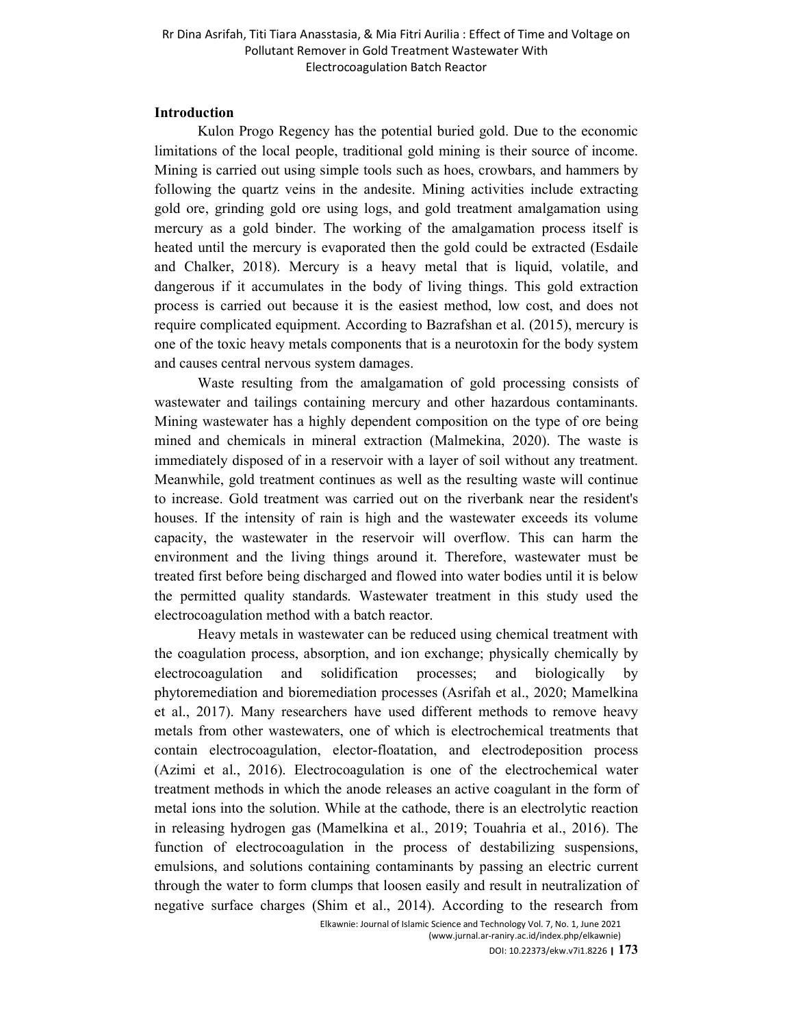#### **Introduction**

Kulon Progo Regency has the potential buried gold. Due to the economic limitations of the local people, traditional gold mining is their source of income. Mining is carried out using simple tools such as hoes, crowbars, and hammers by following the quartz veins in the andesite. Mining activities include extracting gold ore, grinding gold ore using logs, and gold treatment amalgamation using mercury as a gold binder. The working of the amalgamation process itself is heated until the mercury is evaporated then the gold could be extracted (Esdaile and Chalker, 2018). Mercury is a heavy metal that is liquid, volatile, and dangerous if it accumulates in the body of living things. This gold extraction process is carried out because it is the easiest method, low cost, and does not require complicated equipment. According to Bazrafshan et al. (2015), mercury is one of the toxic heavy metals components that is a neurotoxin for the body system and causes central nervous system damages.

Waste resulting from the amalgamation of gold processing consists of wastewater and tailings containing mercury and other hazardous contaminants. Mining wastewater has a highly dependent composition on the type of ore being mined and chemicals in mineral extraction (Malmekina, 2020). The waste is immediately disposed of in a reservoir with a layer of soil without any treatment. Meanwhile, gold treatment continues as well as the resulting waste will continue to increase. Gold treatment was carried out on the riverbank near the resident's houses. If the intensity of rain is high and the wastewater exceeds its volume capacity, the wastewater in the reservoir will overflow. This can harm the environment and the living things around it. Therefore, wastewater must be treated first before being discharged and flowed into water bodies until it is below the permitted quality standards. Wastewater treatment in this study used the electrocoagulation method with a batch reactor.

Heavy metals in wastewater can be reduced using chemical treatment with the coagulation process, absorption, and ion exchange; physically chemically by electrocoagulation and solidification processes; and biologically by phytoremediation and bioremediation processes (Asrifah et al., 2020; Mamelkina et al., 2017). Many researchers have used different methods to remove heavy metals from other wastewaters, one of which is electrochemical treatments that contain electrocoagulation, elector-floatation, and electrodeposition process (Azimi et al., 2016). Electrocoagulation is one of the electrochemical water treatment methods in which the anode releases an active coagulant in the form of metal ions into the solution. While at the cathode, there is an electrolytic reaction in releasing hydrogen gas (Mamelkina et al., 2019; Touahria et al., 2016). The function of electrocoagulation in the process of destabilizing suspensions, emulsions, and solutions containing contaminants by passing an electric current through the water to form clumps that loosen easily and result in neutralization of negative surface charges (Shim et al., 2014). According to the research from

Elkawnie: Journal of Islamic Science and Technology Vol. 7, No. 1, June 2021 (www.jurnal.ar-raniry.ac.id/index.php/elkawnie)

DOI: 10.22373/ekw.v7i1.8226 **| 173**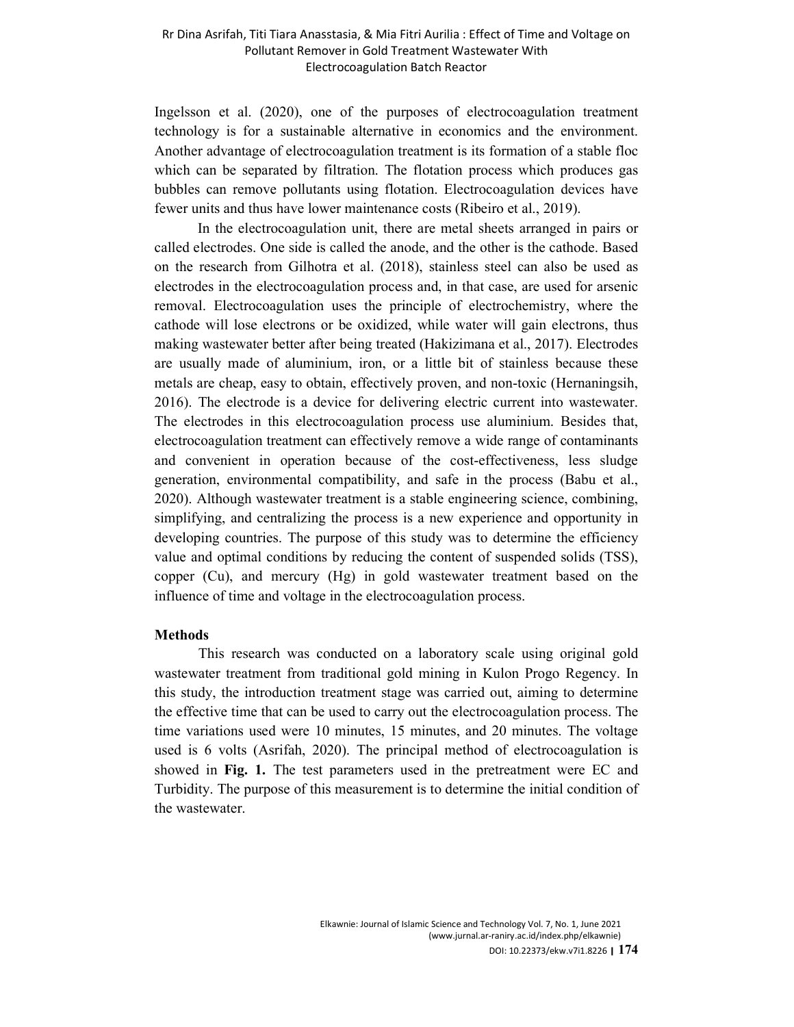Ingelsson et al. (2020), one of the purposes of electrocoagulation treatment technology is for a sustainable alternative in economics and the environment. Another advantage of electrocoagulation treatment is its formation of a stable floc which can be separated by filtration. The flotation process which produces gas bubbles can remove pollutants using flotation. Electrocoagulation devices have fewer units and thus have lower maintenance costs (Ribeiro et al., 2019).

In the electrocoagulation unit, there are metal sheets arranged in pairs or called electrodes. One side is called the anode, and the other is the cathode. Based on the research from Gilhotra et al. (2018), stainless steel can also be used as electrodes in the electrocoagulation process and, in that case, are used for arsenic removal. Electrocoagulation uses the principle of electrochemistry, where the cathode will lose electrons or be oxidized, while water will gain electrons, thus making wastewater better after being treated (Hakizimana et al., 2017). Electrodes are usually made of aluminium, iron, or a little bit of stainless because these metals are cheap, easy to obtain, effectively proven, and non-toxic (Hernaningsih, 2016). The electrode is a device for delivering electric current into wastewater. The electrodes in this electrocoagulation process use aluminium. Besides that, electrocoagulation treatment can effectively remove a wide range of contaminants and convenient in operation because of the cost-effectiveness, less sludge generation, environmental compatibility, and safe in the process (Babu et al., 2020). Although wastewater treatment is a stable engineering science, combining, simplifying, and centralizing the process is a new experience and opportunity in developing countries. The purpose of this study was to determine the efficiency value and optimal conditions by reducing the content of suspended solids (TSS), copper (Cu), and mercury (Hg) in gold wastewater treatment based on the influence of time and voltage in the electrocoagulation process.

#### **Methods**

This research was conducted on a laboratory scale using original gold wastewater treatment from traditional gold mining in Kulon Progo Regency. In this study, the introduction treatment stage was carried out, aiming to determine the effective time that can be used to carry out the electrocoagulation process. The time variations used were 10 minutes, 15 minutes, and 20 minutes. The voltage used is 6 volts (Asrifah, 2020). The principal method of electrocoagulation is showed in **Fig. 1.** The test parameters used in the pretreatment were EC and Turbidity. The purpose of this measurement is to determine the initial condition of the wastewater.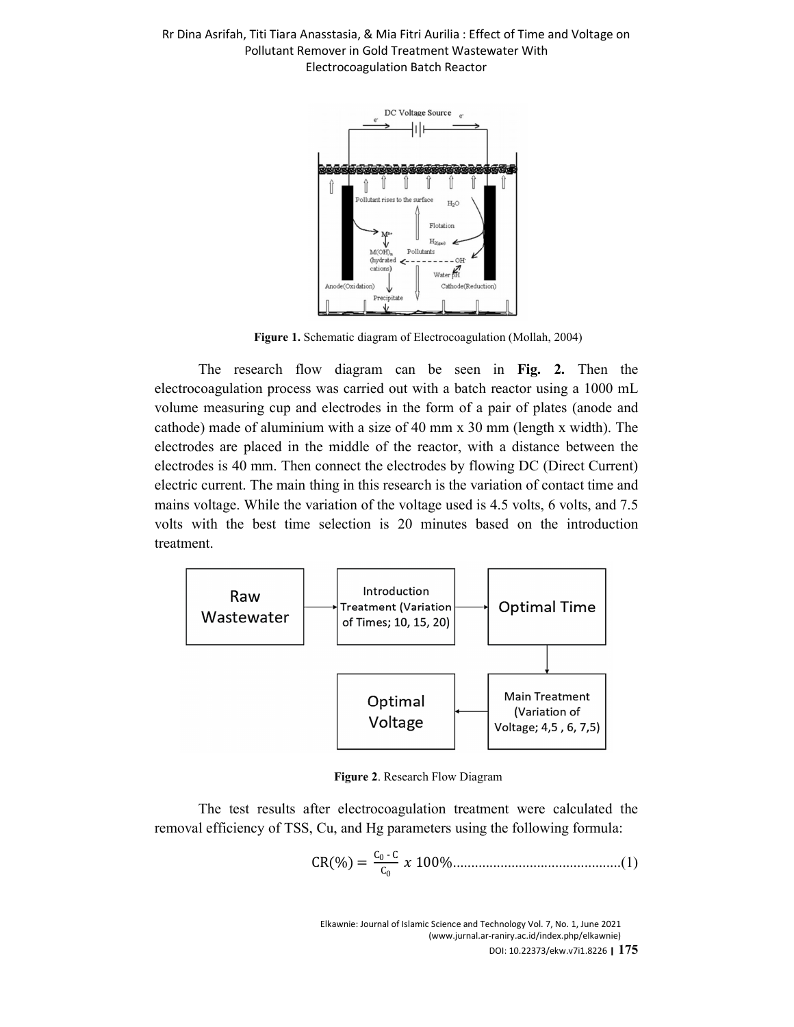

**Figure 1.** Schematic diagram of Electrocoagulation (Mollah, 2004)

The research flow diagram can be seen in **Fig. 2.** Then the electrocoagulation process was carried out with a batch reactor using a 1000 mL volume measuring cup and electrodes in the form of a pair of plates (anode and cathode) made of aluminium with a size of 40 mm x 30 mm (length x width). The electrodes are placed in the middle of the reactor, with a distance between the electrodes is 40 mm. Then connect the electrodes by flowing DC (Direct Current) electric current. The main thing in this research is the variation of contact time and mains voltage. While the variation of the voltage used is 4.5 volts, 6 volts, and 7.5 volts with the best time selection is 20 minutes based on the introduction treatment.



**Figure 2**. Research Flow Diagram

The test results after electrocoagulation treatment were calculated the removal efficiency of TSS, Cu, and Hg parameters using the following formula:

CR% C0 - C C0 100%..............................................(1)

Elkawnie: Journal of Islamic Science and Technology Vol. 7, No. 1, June 2021 (www.jurnal.ar-raniry.ac.id/index.php/elkawnie) DOI: 10.22373/ekw.v7i1.8226 **| 175**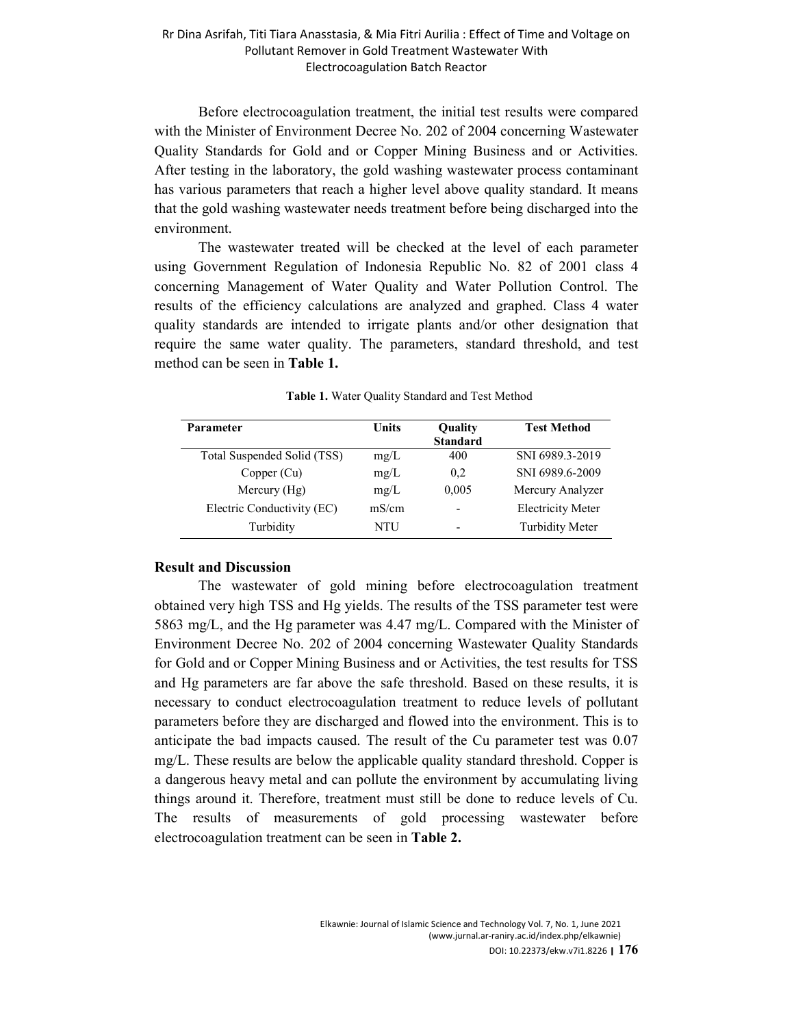Before electrocoagulation treatment, the initial test results were compared with the Minister of Environment Decree No. 202 of 2004 concerning Wastewater Quality Standards for Gold and or Copper Mining Business and or Activities. After testing in the laboratory, the gold washing wastewater process contaminant has various parameters that reach a higher level above quality standard. It means that the gold washing wastewater needs treatment before being discharged into the environment.

The wastewater treated will be checked at the level of each parameter using Government Regulation of Indonesia Republic No. 82 of 2001 class 4 concerning Management of Water Quality and Water Pollution Control. The results of the efficiency calculations are analyzed and graphed. Class 4 water quality standards are intended to irrigate plants and/or other designation that require the same water quality. The parameters, standard threshold, and test method can be seen in **Table 1.** 

| <b>Units</b> | Quality                  | <b>Test Method</b>       |
|--------------|--------------------------|--------------------------|
|              | <b>Standard</b>          |                          |
| mg/L         | 400                      | SNI 6989.3-2019          |
| mg/L         | 0,2                      | SNI 6989.6-2009          |
| mg/L         | 0,005                    | Mercury Analyzer         |
| mS/cm        | $\overline{\phantom{a}}$ | <b>Electricity Meter</b> |
| NTU          |                          | <b>Turbidity Meter</b>   |
|              |                          |                          |

**Table 1.** Water Quality Standard and Test Method

#### **Result and Discussion**

The wastewater of gold mining before electrocoagulation treatment obtained very high TSS and Hg yields. The results of the TSS parameter test were 5863 mg/L, and the Hg parameter was 4.47 mg/L. Compared with the Minister of Environment Decree No. 202 of 2004 concerning Wastewater Quality Standards for Gold and or Copper Mining Business and or Activities, the test results for TSS and Hg parameters are far above the safe threshold. Based on these results, it is necessary to conduct electrocoagulation treatment to reduce levels of pollutant parameters before they are discharged and flowed into the environment. This is to anticipate the bad impacts caused. The result of the Cu parameter test was 0.07 mg/L. These results are below the applicable quality standard threshold. Copper is a dangerous heavy metal and can pollute the environment by accumulating living things around it. Therefore, treatment must still be done to reduce levels of Cu. The results of measurements of gold processing wastewater before electrocoagulation treatment can be seen in **Table 2.**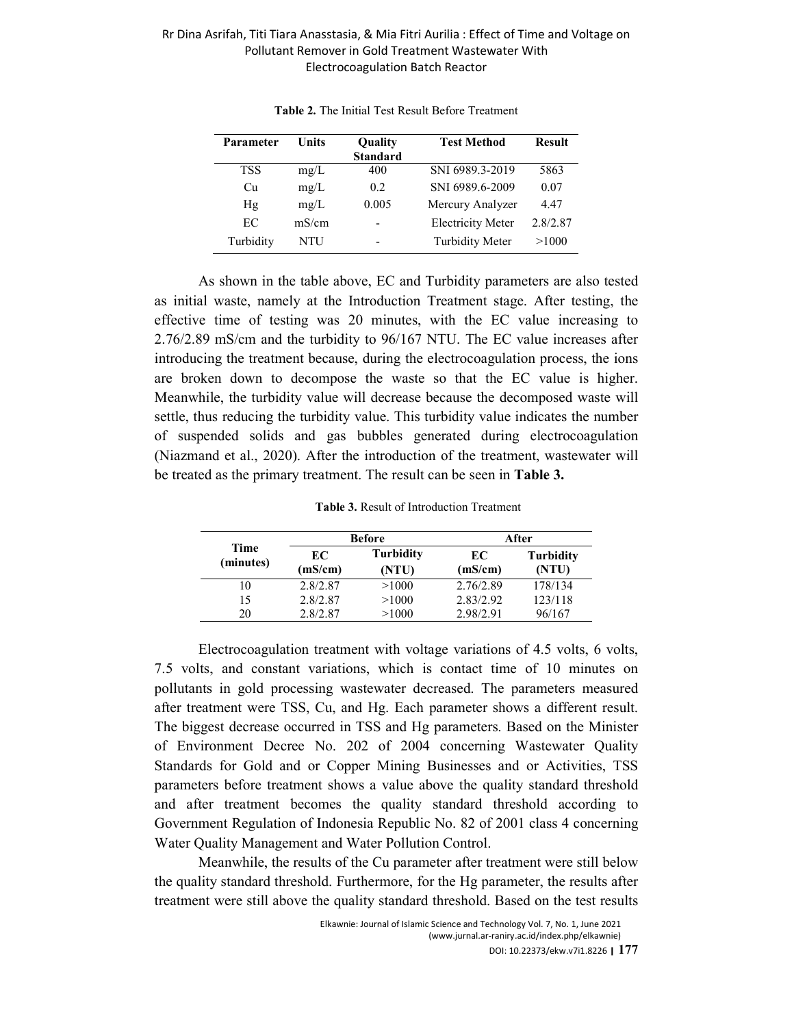| Parameter  | <b>Units</b> | Quality<br><b>Standard</b> | <b>Test Method</b>       | <b>Result</b> |
|------------|--------------|----------------------------|--------------------------|---------------|
| <b>TSS</b> | mg/L         | 400                        | SNI 6989.3-2019          | 5863          |
| Cп         | mg/L         | 0.2                        | SNI 6989.6-2009          | 0.07          |
| Hg         | mg/L         | 0.005                      | Mercury Analyzer         | 4.47          |
| EC         | mS/cm        |                            | <b>Electricity Meter</b> | 2.8/2.87      |
| Turbidity  | NTU          | -                          | <b>Turbidity Meter</b>   | >1000         |

**Table 2.** The Initial Test Result Before Treatment

As shown in the table above, EC and Turbidity parameters are also tested as initial waste, namely at the Introduction Treatment stage. After testing, the effective time of testing was 20 minutes, with the EC value increasing to 2.76/2.89 mS/cm and the turbidity to 96/167 NTU. The EC value increases after introducing the treatment because, during the electrocoagulation process, the ions are broken down to decompose the waste so that the EC value is higher. Meanwhile, the turbidity value will decrease because the decomposed waste will settle, thus reducing the turbidity value. This turbidity value indicates the number of suspended solids and gas bubbles generated during electrocoagulation (Niazmand et al., 2020). After the introduction of the treatment, wastewater will be treated as the primary treatment. The result can be seen in **Table 3.** 

**Table 3.** Result of Introduction Treatment

|                   | <b>Before</b> |                           | After         |                           |
|-------------------|---------------|---------------------------|---------------|---------------------------|
| Time<br>(minutes) | EC<br>(mS/cm) | <b>Turbidity</b><br>(NTU) | EC<br>(mS/cm) | <b>Turbidity</b><br>(NTU) |
| 10                | 2.8/2.87      | >1000                     | 2.76/2.89     | 178/134                   |
| 15                | 2.8/2.87      | >1000                     | 2.83/2.92     | 123/118                   |
| 20                | 2.8/2.87      | >1000                     | 2.98/2.91     | 96/167                    |

Electrocoagulation treatment with voltage variations of 4.5 volts, 6 volts, 7.5 volts, and constant variations, which is contact time of 10 minutes on pollutants in gold processing wastewater decreased. The parameters measured after treatment were TSS, Cu, and Hg. Each parameter shows a different result. The biggest decrease occurred in TSS and Hg parameters. Based on the Minister of Environment Decree No. 202 of 2004 concerning Wastewater Quality Standards for Gold and or Copper Mining Businesses and or Activities, TSS parameters before treatment shows a value above the quality standard threshold and after treatment becomes the quality standard threshold according to Government Regulation of Indonesia Republic No. 82 of 2001 class 4 concerning Water Quality Management and Water Pollution Control.

Meanwhile, the results of the Cu parameter after treatment were still below the quality standard threshold. Furthermore, for the Hg parameter, the results after treatment were still above the quality standard threshold. Based on the test results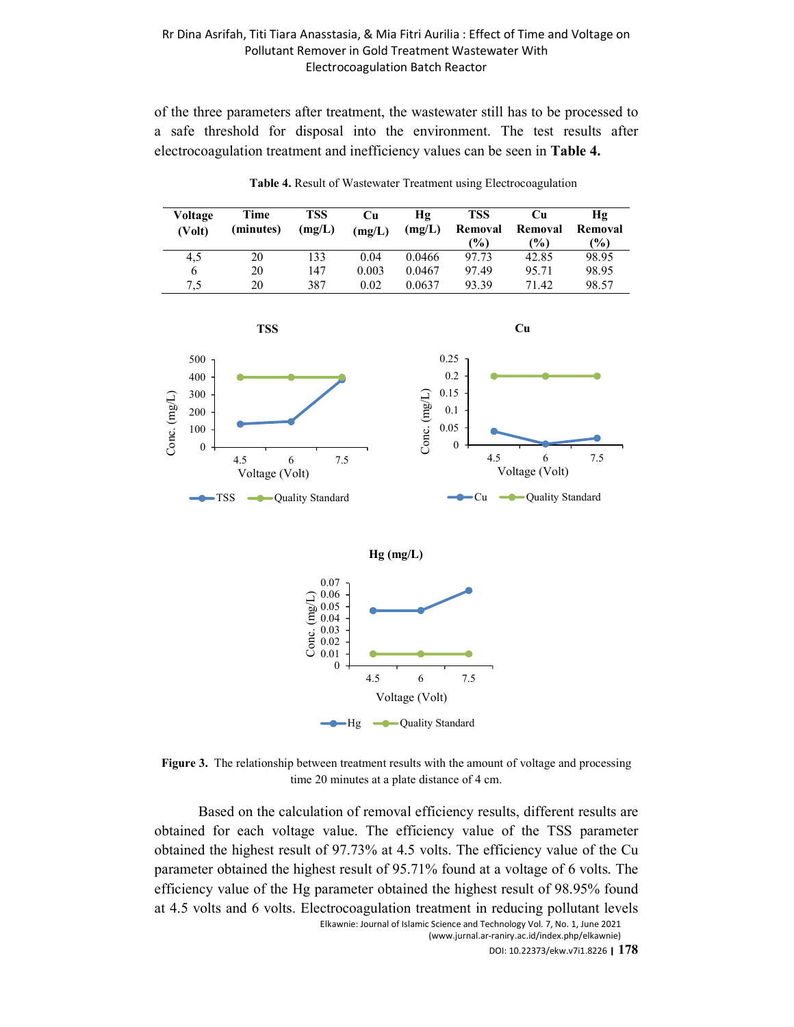of the three parameters after treatment, the wastewater still has to be processed to a safe threshold for disposal into the environment. The test results after electrocoagulation treatment and inefficiency values can be seen in **Table 4.** 



**Table 4.** Result of Wastewater Treatment using Electrocoagulation

Voltage (Volt) -Hg  $\leftarrow$  Quality Standard

**Figure 3.** The relationship between treatment results with the amount of voltage and processing time 20 minutes at a plate distance of 4 cm.

Based on the calculation of removal efficiency results, different results are obtained for each voltage value. The efficiency value of the TSS parameter obtained the highest result of 97.73% at 4.5 volts. The efficiency value of the Cu parameter obtained the highest result of 95.71% found at a voltage of 6 volts. The efficiency value of the Hg parameter obtained the highest result of 98.95% found at 4.5 volts and 6 volts. Electrocoagulation treatment in reducing pollutant levels

Elkawnie: Journal of Islamic Science and Technology Vol. 7, No. 1, June 2021 (www.jurnal.ar-raniry.ac.id/index.php/elkawnie)

DOI: 10.22373/ekw.v7i1.8226 **| 178**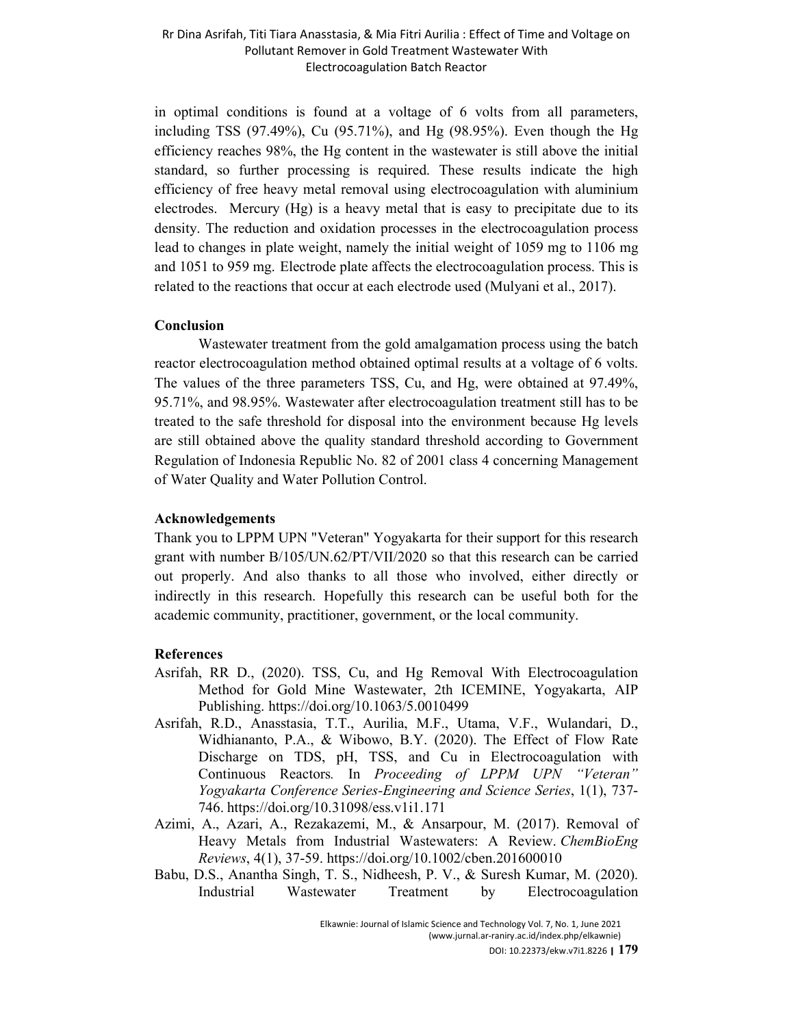in optimal conditions is found at a voltage of 6 volts from all parameters, including TSS (97.49%), Cu (95.71%), and Hg (98.95%). Even though the Hg efficiency reaches 98%, the Hg content in the wastewater is still above the initial standard, so further processing is required. These results indicate the high efficiency of free heavy metal removal using electrocoagulation with aluminium electrodes. Mercury (Hg) is a heavy metal that is easy to precipitate due to its density. The reduction and oxidation processes in the electrocoagulation process lead to changes in plate weight, namely the initial weight of 1059 mg to 1106 mg and 1051 to 959 mg. Electrode plate affects the electrocoagulation process. This is related to the reactions that occur at each electrode used (Mulyani et al., 2017).

### **Conclusion**

 Wastewater treatment from the gold amalgamation process using the batch reactor electrocoagulation method obtained optimal results at a voltage of 6 volts. The values of the three parameters TSS, Cu, and Hg, were obtained at 97.49%, 95.71%, and 98.95%. Wastewater after electrocoagulation treatment still has to be treated to the safe threshold for disposal into the environment because Hg levels are still obtained above the quality standard threshold according to Government Regulation of Indonesia Republic No. 82 of 2001 class 4 concerning Management of Water Quality and Water Pollution Control.

## **Acknowledgements**

Thank you to LPPM UPN "Veteran" Yogyakarta for their support for this research grant with number B/105/UN.62/PT/VII/2020 so that this research can be carried out properly. And also thanks to all those who involved, either directly or indirectly in this research. Hopefully this research can be useful both for the academic community, practitioner, government, or the local community.

## **References**

- Asrifah, RR D., (2020). TSS, Cu, and Hg Removal With Electrocoagulation Method for Gold Mine Wastewater, 2th ICEMINE, Yogyakarta, AIP Publishing. https://doi.org/10.1063/5.0010499
- Asrifah, R.D., Anasstasia, T.T., Aurilia, M.F., Utama, V.F., Wulandari, D., Widhiananto, P.A., & Wibowo, B.Y. (2020). The Effect of Flow Rate Discharge on TDS, pH, TSS, and Cu in Electrocoagulation with Continuous Reactors*.* In *Proceeding of LPPM UPN "Veteran" Yogyakarta Conference Series-Engineering and Science Series*, 1(1), 737- 746. https://doi.org/10.31098/ess.v1i1.171
- Azimi, A., Azari, A., Rezakazemi, M., & Ansarpour, M. (2017). Removal of Heavy Metals from Industrial Wastewaters: A Review. *ChemBioEng Reviews*, 4(1), 37-59. https://doi.org/10.1002/cben.201600010
- Babu, D.S., Anantha Singh, T. S., Nidheesh, P. V., & Suresh Kumar, M. (2020). Industrial Wastewater Treatment by Electrocoagulation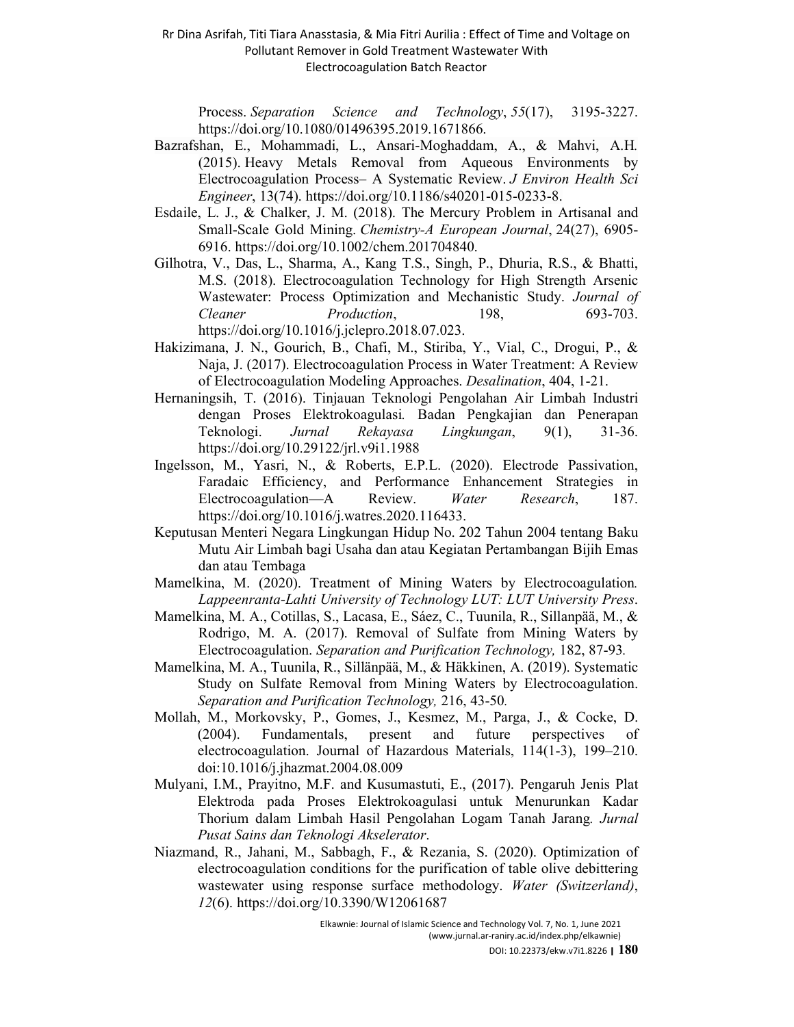Process. *Separation Science and Technology*, *55*(17), 3195-3227. https://doi.org/10.1080/01496395.2019.1671866.

- Bazrafshan, E., Mohammadi, L., Ansari-Moghaddam, A., & Mahvi, A.H*.*  (2015). Heavy Metals Removal from Aqueous Environments by Electrocoagulation Process– A Systematic Review. *J Environ Health Sci Engineer*, 13(74). https://doi.org/10.1186/s40201-015-0233-8.
- Esdaile, L. J., & Chalker, J. M. (2018). The Mercury Problem in Artisanal and Small‐Scale Gold Mining. *Chemistry-A European Journal*, 24(27), 6905- 6916. https://doi.org/10.1002/chem.201704840.
- Gilhotra, V., Das, L., Sharma, A., Kang T.S., Singh, P., Dhuria, R.S., & Bhatti, M.S. (2018). Electrocoagulation Technology for High Strength Arsenic Wastewater: Process Optimization and Mechanistic Study. *Journal of Cleaner Production*, 198, 693-703. https://doi.org/10.1016/j.jclepro.2018.07.023.
- Hakizimana, J. N., Gourich, B., Chafi, M., Stiriba, Y., Vial, C., Drogui, P., & Naja, J. (2017). Electrocoagulation Process in Water Treatment: A Review of Electrocoagulation Modeling Approaches. *Desalination*, 404, 1-21.
- Hernaningsih, T. (2016). Tinjauan Teknologi Pengolahan Air Limbah Industri dengan Proses Elektrokoagulasi*.* Badan Pengkajian dan Penerapan Teknologi. *Jurnal Rekayasa Lingkungan*, 9(1), 31-36. https://doi.org/10.29122/jrl.v9i1.1988
- Ingelsson, M., Yasri, N., & Roberts, E.P.L. (2020). Electrode Passivation, Faradaic Efficiency, and Performance Enhancement Strategies in Electrocoagulation—A Review. *Water Research*, 187. https://doi.org/10.1016/j.watres.2020.116433.
- Keputusan Menteri Negara Lingkungan Hidup No. 202 Tahun 2004 tentang Baku Mutu Air Limbah bagi Usaha dan atau Kegiatan Pertambangan Bijih Emas dan atau Tembaga
- Mamelkina, M. (2020). Treatment of Mining Waters by Electrocoagulation*. Lappeenranta-Lahti University of Technology LUT: LUT University Press*.
- Mamelkina, M. A., Cotillas, S., Lacasa, E., Sáez, C., Tuunila, R., Sillanpää, M., & Rodrigo, M. A. (2017). Removal of Sulfate from Mining Waters by Electrocoagulation. *Separation and Purification Technology,* 182, 87-93*.*
- Mamelkina, M. A., Tuunila, R., Sillänpää, M., & Häkkinen, A. (2019). Systematic Study on Sulfate Removal from Mining Waters by Electrocoagulation. *Separation and Purification Technology,* 216, 43-50*.*
- Mollah, M., Morkovsky, P., Gomes, J., Kesmez, M., Parga, J., & Cocke, D. (2004). Fundamentals, present and future perspectives of electrocoagulation. Journal of Hazardous Materials, 114(1-3), 199–210. doi:10.1016/j.jhazmat.2004.08.009
- Mulyani, I.M., Prayitno, M.F. and Kusumastuti, E., (2017). Pengaruh Jenis Plat Elektroda pada Proses Elektrokoagulasi untuk Menurunkan Kadar Thorium dalam Limbah Hasil Pengolahan Logam Tanah Jarang*. Jurnal Pusat Sains dan Teknologi Akselerator*.
- Niazmand, R., Jahani, M., Sabbagh, F., & Rezania, S. (2020). Optimization of electrocoagulation conditions for the purification of table olive debittering wastewater using response surface methodology. *Water (Switzerland)*, *12*(6). https://doi.org/10.3390/W12061687